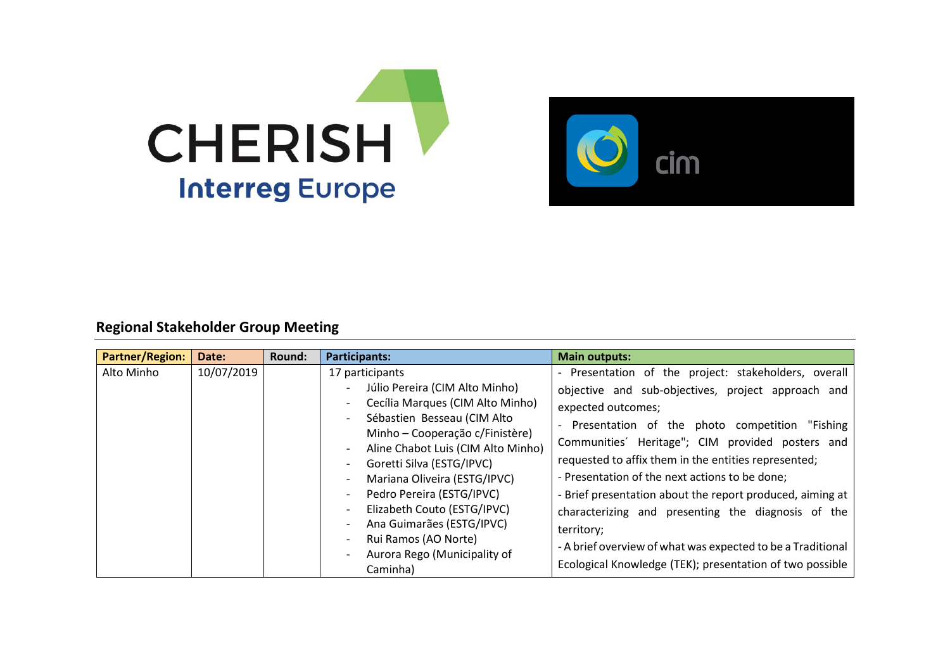



## **Regional Stakeholder Group Meeting**

| <b>Partner/Region:</b> | Date:      | Round: | <b>Participants:</b>                                                                                                                                                                                                                                                                                                                                                                                                    | <b>Main outputs:</b>                                                                                                                                                                                                                                                                                                                                                                                                                                                                                                                                                                                            |
|------------------------|------------|--------|-------------------------------------------------------------------------------------------------------------------------------------------------------------------------------------------------------------------------------------------------------------------------------------------------------------------------------------------------------------------------------------------------------------------------|-----------------------------------------------------------------------------------------------------------------------------------------------------------------------------------------------------------------------------------------------------------------------------------------------------------------------------------------------------------------------------------------------------------------------------------------------------------------------------------------------------------------------------------------------------------------------------------------------------------------|
| Alto Minho             | 10/07/2019 |        | 17 participants<br>Júlio Pereira (CIM Alto Minho)<br>Cecília Marques (CIM Alto Minho)<br>Sébastien Besseau (CIM Alto<br>Minho - Cooperação c/Finistère)<br>Aline Chabot Luis (CIM Alto Minho)<br>Goretti Silva (ESTG/IPVC)<br>Mariana Oliveira (ESTG/IPVC)<br>Pedro Pereira (ESTG/IPVC)<br>Elizabeth Couto (ESTG/IPVC)<br>Ana Guimarães (ESTG/IPVC)<br>Rui Ramos (AO Norte)<br>Aurora Rego (Municipality of<br>Caminha) | - Presentation of the project: stakeholders, overall<br>objective and sub-objectives, project approach and<br>expected outcomes;<br>"Fishing<br>Presentation of the photo competition<br>Communities' Heritage"; CIM provided posters and<br>requested to affix them in the entities represented;<br>- Presentation of the next actions to be done;<br>- Brief presentation about the report produced, aiming at<br>characterizing and presenting the diagnosis of the<br>territory;<br>- A brief overview of what was expected to be a Traditional<br>Ecological Knowledge (TEK); presentation of two possible |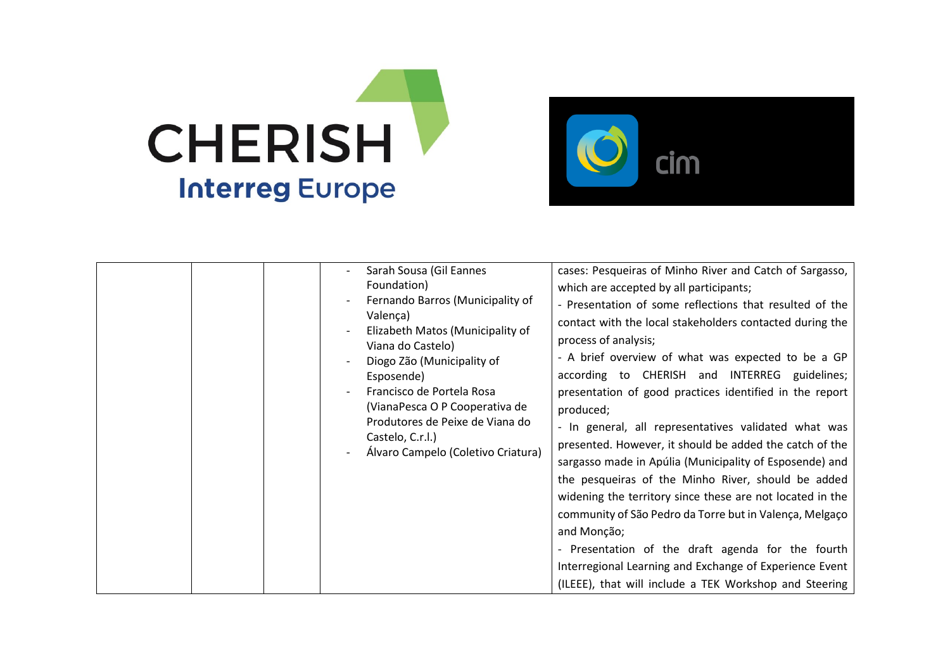



|  | Sarah Sousa (Gil Eannes<br>Foundation)<br>Fernando Barros (Municipality of<br>Valença)<br>Elizabeth Matos (Municipality of<br>Viana do Castelo)<br>Diogo Zão (Municipality of<br>Esposende)<br>Francisco de Portela Rosa<br>(VianaPesca O P Cooperativa de<br>Produtores de Peixe de Viana do<br>Castelo, C.r.l.)<br>Álvaro Campelo (Coletivo Criatura) | cases: Pesqueiras of Minho River and Catch of Sargasso,<br>which are accepted by all participants;<br>- Presentation of some reflections that resulted of the<br>contact with the local stakeholders contacted during the<br>process of analysis;<br>- A brief overview of what was expected to be a GP<br>according to CHERISH and INTERREG guidelines;<br>presentation of good practices identified in the report<br>produced;<br>- In general, all representatives validated what was<br>presented. However, it should be added the catch of the<br>sargasso made in Apúlia (Municipality of Esposende) and<br>the pesqueiras of the Minho River, should be added<br>widening the territory since these are not located in the<br>community of São Pedro da Torre but in Valença, Melgaço<br>and Monção;<br>- Presentation of the draft agenda for the fourth<br>Interregional Learning and Exchange of Experience Event<br>(ILEEE), that will include a TEK Workshop and Steering |
|--|---------------------------------------------------------------------------------------------------------------------------------------------------------------------------------------------------------------------------------------------------------------------------------------------------------------------------------------------------------|---------------------------------------------------------------------------------------------------------------------------------------------------------------------------------------------------------------------------------------------------------------------------------------------------------------------------------------------------------------------------------------------------------------------------------------------------------------------------------------------------------------------------------------------------------------------------------------------------------------------------------------------------------------------------------------------------------------------------------------------------------------------------------------------------------------------------------------------------------------------------------------------------------------------------------------------------------------------------------------|
|--|---------------------------------------------------------------------------------------------------------------------------------------------------------------------------------------------------------------------------------------------------------------------------------------------------------------------------------------------------------|---------------------------------------------------------------------------------------------------------------------------------------------------------------------------------------------------------------------------------------------------------------------------------------------------------------------------------------------------------------------------------------------------------------------------------------------------------------------------------------------------------------------------------------------------------------------------------------------------------------------------------------------------------------------------------------------------------------------------------------------------------------------------------------------------------------------------------------------------------------------------------------------------------------------------------------------------------------------------------------|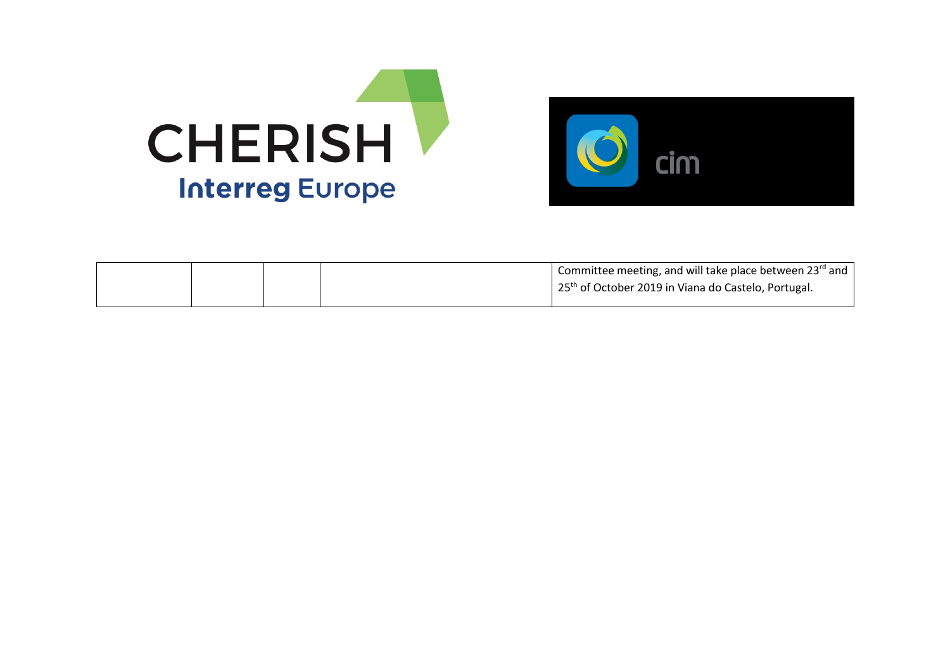



|  |  | <sup>1</sup> Committee meeting, and will take place between $23^{rd}$ and |
|--|--|---------------------------------------------------------------------------|
|  |  | 1 25 <sup>th</sup> of October 2019 in Viana do Castelo, Portugal.         |
|  |  |                                                                           |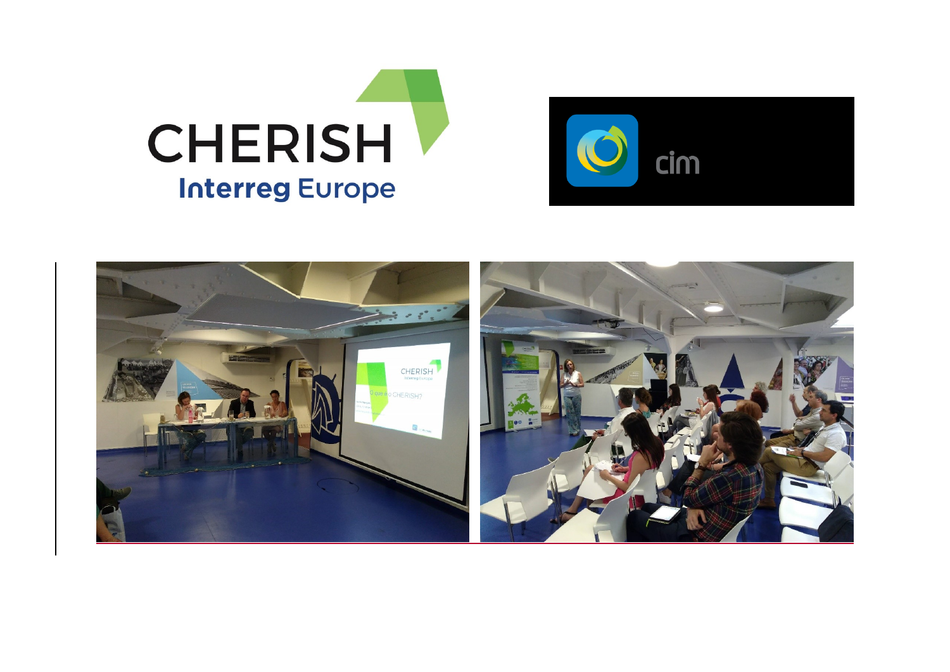